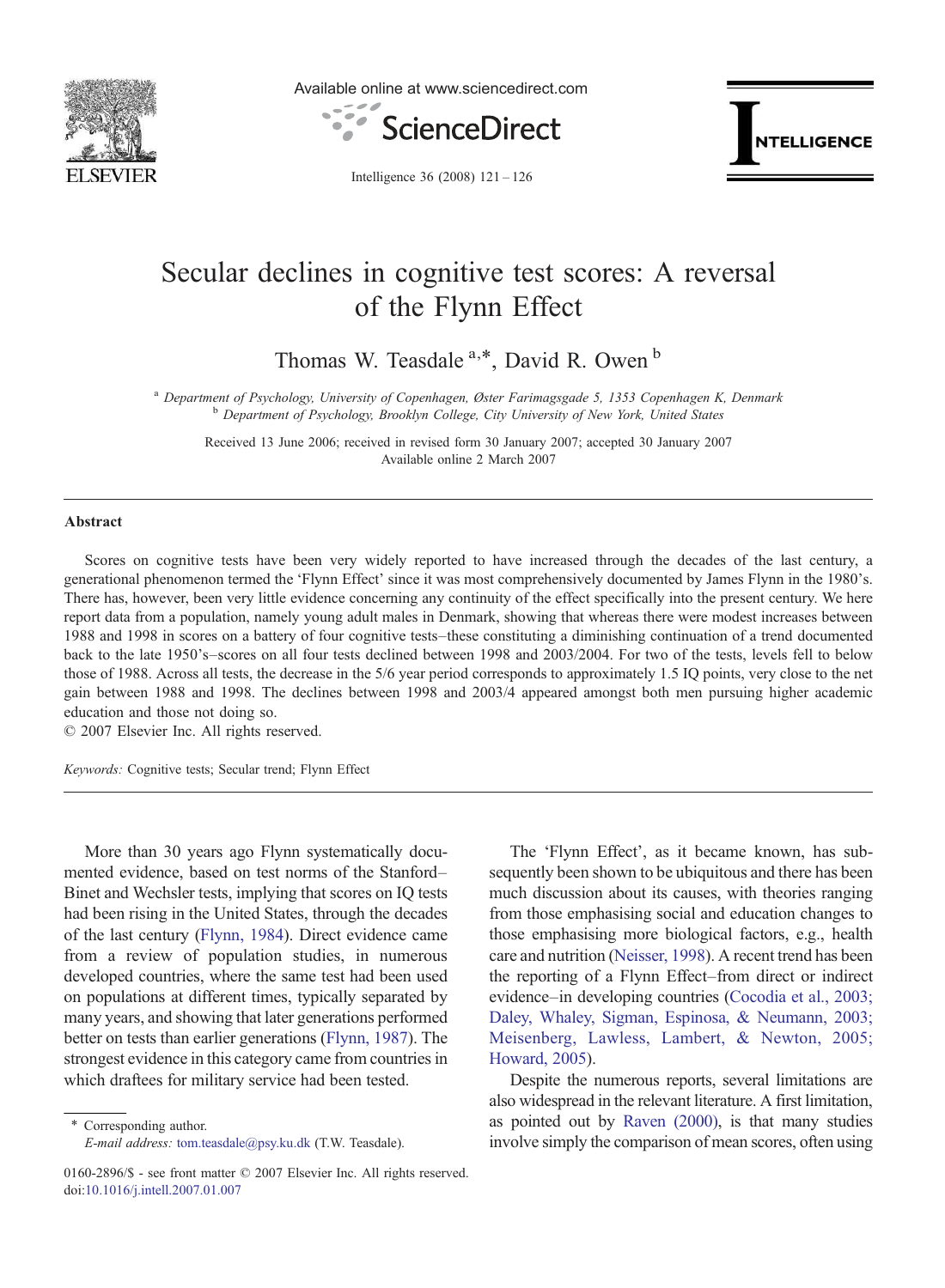

Available online at www.sciencedirect.com





Intelligence 36 (2008) 121–126

# Secular declines in cognitive test scores: A reversal of the Flynn Effect

Thomas W. Teasdale <sup>a,\*</sup>, David R. Owen <sup>b</sup>

<sup>a</sup> *Department of Psychology, University of Copenhagen, Øster Farimagsgade 5, 1353 Copenhagen K, Denmark* <sup>b</sup> *Department of Psychology, Brooklyn College, City University of New York, United States*

Received 13 June 2006; received in revised form 30 January 2007; accepted 30 January 2007 Available online 2 March 2007

#### Abstract

Scores on cognitive tests have been very widely reported to have increased through the decades of the last century, a generational phenomenon termed the 'Flynn Effect' since it was most comprehensively documented by James Flynn in the 1980's. There has, however, been very little evidence concerning any continuity of the effect specifically into the present century. We here report data from a population, namely young adult males in Denmark, showing that whereas there were modest increases between 1988 and 1998 in scores on a battery of four cognitive tests–these constituting a diminishing continuation of a trend documented back to the late 1950's–scores on all four tests declined between 1998 and 2003/2004. For two of the tests, levels fell to below those of 1988. Across all tests, the decrease in the 5/6 year period corresponds to approximately 1.5 IQ points, very close to the net gain between 1988 and 1998. The declines between 1998 and 2003/4 appeared amongst both men pursuing higher academic education and those not doing so.

© 2007 Elsevier Inc. All rights reserved.

*Keywords:* Cognitive tests; Secular trend; Flynn Effect

More than 30 years ago Flynn systematically documented evidence, based on test norms of the Stanford– Binet and Wechsler tests, implying that scores on IQ tests had been rising in the United States, through the decades of the last century (Flynn, 1984). Direct evidence came from a review of population studies, in numerous developed countries, where the same test had been used on populations at different times, typically separated by many years, and showing that later generations performed better on tests than earlier generations (Flynn, 1987). The strongest evidence in this category came from countries in which draftees for military service had been tested.

⁎ Corresponding author. *E-mail address:* tom.teasdale@psy.ku.dk (T.W. Teasdale).

The 'Flynn Effect', as it became known, has subsequently been shown to be ubiquitous and there has been much discussion about its causes, with theories ranging from those emphasising social and education changes to those emphasising more biological factors, e.g., health care and nutrition (Neisser, 1998). A recent trend has been the reporting of a Flynn Effect–from direct or indirect evidence–in developing countries (Cocodia et al., 2003; Daley, Whaley, Sigman, Espinosa, & Neumann, 2003; Meisenberg, Lawless, Lambert, & Newton, 2005; Howard, 2005).

Despite the numerous reports, several limitations are also widespread in the relevant literature. A first limitation, as pointed out by Raven (2000), is that many studies involve simply the comparison of mean scores, often using

<sup>0160-2896/\$ -</sup> see front matter © 2007 Elsevier Inc. All rights reserved. doi:10.1016/j.intell.2007.01.007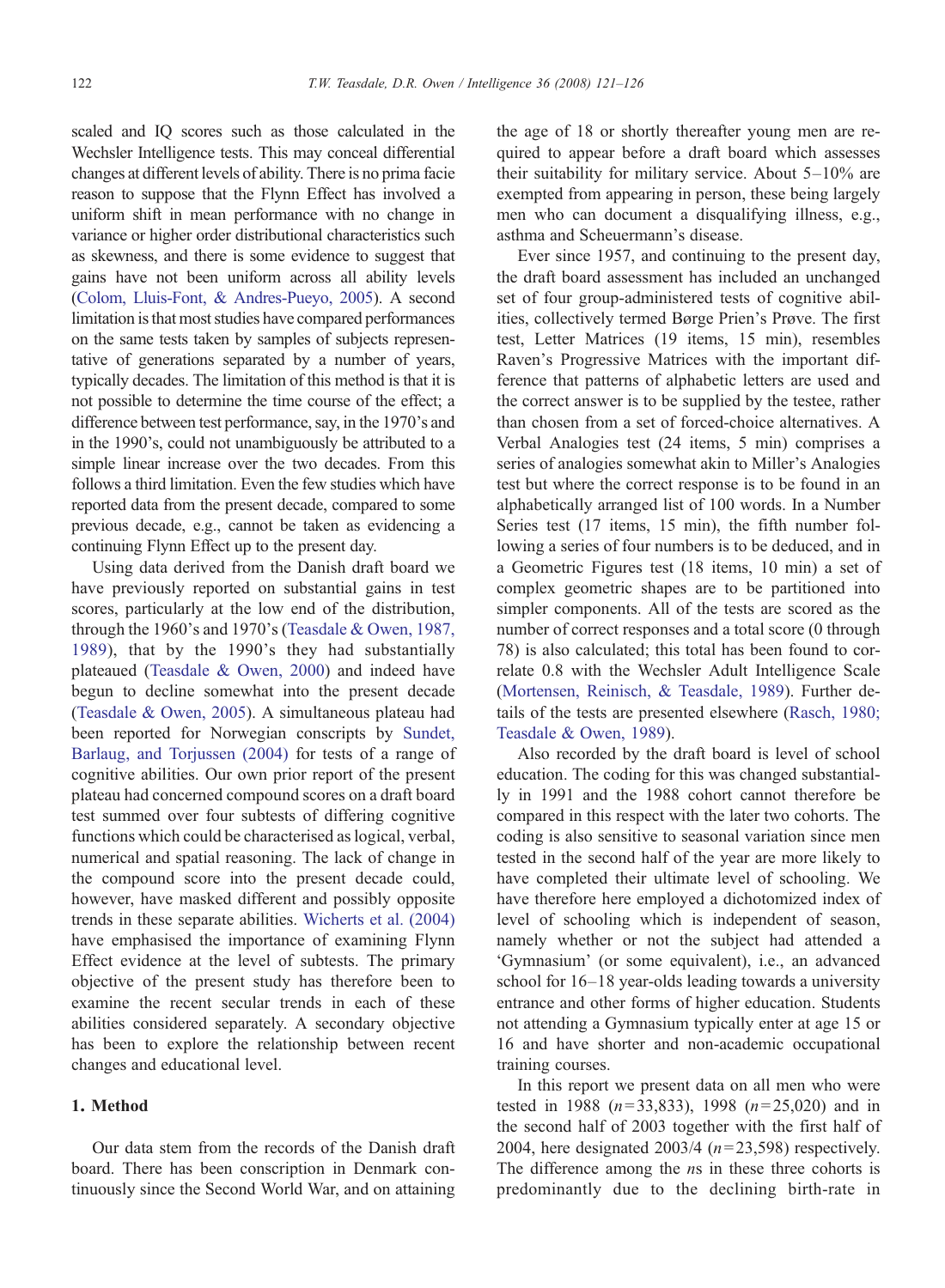scaled and IQ scores such as those calculated in the Wechsler Intelligence tests. This may conceal differential changes at different levels of ability. There is no prima facie reason to suppose that the Flynn Effect has involved a uniform shift in mean performance with no change in variance or higher order distributional characteristics such as skewness, and there is some evidence to suggest that gains have not been uniform across all ability levels (Colom, Lluis-Font, & Andres-Pueyo, 2005). A second limitation is that most studies have compared performances on the same tests taken by samples of subjects representative of generations separated by a number of years, typically decades. The limitation of this method is that it is not possible to determine the time course of the effect; a difference between test performance, say, in the 1970's and in the 1990's, could not unambiguously be attributed to a simple linear increase over the two decades. From this follows a third limitation. Even the few studies which have reported data from the present decade, compared to some previous decade, e.g., cannot be taken as evidencing a continuing Flynn Effect up to the present day.

Using data derived from the Danish draft board we have previously reported on substantial gains in test scores, particularly at the low end of the distribution, through the 1960's and 1970's (Teasdale & Owen, 1987, 1989), that by the 1990's they had substantially plateaued (Teasdale & Owen, 2000) and indeed have begun to decline somewhat into the present decade (Teasdale & Owen, 2005). A simultaneous plateau had been reported for Norwegian conscripts by Sundet, Barlaug, and Torjussen (2004) for tests of a range of cognitive abilities. Our own prior report of the present plateau had concerned compound scores on a draft board test summed over four subtests of differing cognitive functions which could be characterised as logical, verbal, numerical and spatial reasoning. The lack of change in the compound score into the present decade could, however, have masked different and possibly opposite trends in these separate abilities. Wicherts et al. (2004) have emphasised the importance of examining Flynn Effect evidence at the level of subtests. The primary objective of the present study has therefore been to examine the recent secular trends in each of these abilities considered separately. A secondary objective has been to explore the relationship between recent changes and educational level.

## 1. Method

Our data stem from the records of the Danish draft board. There has been conscription in Denmark continuously since the Second World War, and on attaining

the age of 18 or shortly thereafter young men are required to appear before a draft board which assesses their suitability for military service. About 5–10% are exempted from appearing in person, these being largely men who can document a disqualifying illness, e.g., asthma and Scheuermann's disease.

Ever since 1957, and continuing to the present day, the draft board assessment has included an unchanged set of four group-administered tests of cognitive abilities, collectively termed Børge Prien's Prøve. The first test, Letter Matrices (19 items, 15 min), resembles Raven's Progressive Matrices with the important difference that patterns of alphabetic letters are used and the correct answer is to be supplied by the testee, rather than chosen from a set of forced-choice alternatives. A Verbal Analogies test (24 items, 5 min) comprises a series of analogies somewhat akin to Miller's Analogies test but where the correct response is to be found in an alphabetically arranged list of 100 words. In a Number Series test (17 items, 15 min), the fifth number following a series of four numbers is to be deduced, and in a Geometric Figures test (18 items, 10 min) a set of complex geometric shapes are to be partitioned into simpler components. All of the tests are scored as the number of correct responses and a total score (0 through 78) is also calculated; this total has been found to correlate 0.8 with the Wechsler Adult Intelligence Scale (Mortensen, Reinisch, & Teasdale, 1989). Further details of the tests are presented elsewhere (Rasch, 1980; Teasdale & Owen, 1989).

Also recorded by the draft board is level of school education. The coding for this was changed substantially in 1991 and the 1988 cohort cannot therefore be compared in this respect with the later two cohorts. The coding is also sensitive to seasonal variation since men tested in the second half of the year are more likely to have completed their ultimate level of schooling. We have therefore here employed a dichotomized index of level of schooling which is independent of season, namely whether or not the subject had attended a 'Gymnasium' (or some equivalent), i.e., an advanced school for 16–18 year-olds leading towards a university entrance and other forms of higher education. Students not attending a Gymnasium typically enter at age 15 or 16 and have shorter and non-academic occupational training courses.

In this report we present data on all men who were tested in 1988 (*n*= 33,833), 1998 (*n*= 25,020) and in the second half of 2003 together with the first half of 2004, here designated 2003/4 (*n*= 23,598) respectively. The difference among the *n*s in these three cohorts is predominantly due to the declining birth-rate in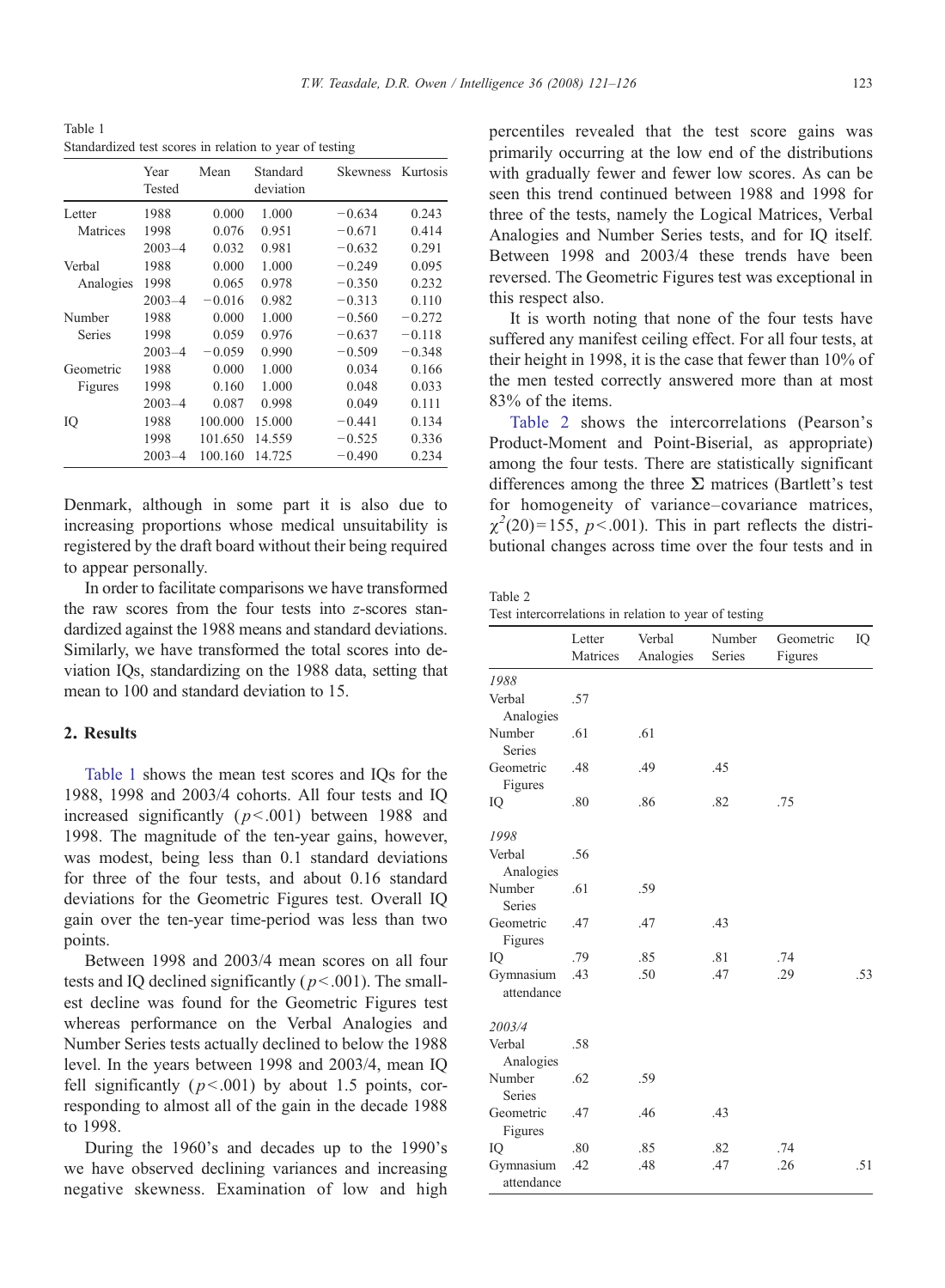Table 1 Standardized test scores in relation to year of testing

|           | Year<br>Tested | Mean     | Standard<br>deviation | <b>Skewness</b> | Kurtosis |
|-----------|----------------|----------|-----------------------|-----------------|----------|
| Letter    | 1988           | 0.000    | 1.000                 | $-0.634$        | 0.243    |
| Matrices  | 1998           | 0.076    | 0.951                 | $-0.671$        | 0.414    |
|           | $2003 - 4$     | 0.032    | 0.981                 | $-0.632$        | 0.291    |
| Verbal    | 1988           | 0.000    | 1.000                 | $-0.249$        | 0.095    |
| Analogies | 1998           | 0.065    | 0.978                 | $-0.350$        | 0.232    |
|           | $2003 - 4$     | $-0.016$ | 0.982                 | $-0.313$        | 0.110    |
| Number    | 1988           | 0.000    | 1.000                 | $-0.560$        | $-0.272$ |
| Series    | 1998           | 0.059    | 0.976                 | $-0.637$        | $-0.118$ |
|           | $2003 - 4$     | $-0.059$ | 0.990                 | $-0.509$        | $-0.348$ |
| Geometric | 1988           | 0.000    | 1.000                 | 0.034           | 0.166    |
| Figures   | 1998           | 0.160    | 1.000                 | 0.048           | 0.033    |
|           | $2003 - 4$     | 0.087    | 0.998                 | 0.049           | 0.111    |
| IQ        | 1988           | 100.000  | 15.000                | $-0.441$        | 0.134    |
|           | 1998           | 101.650  | 14.559                | $-0.525$        | 0.336    |
|           | $2003 - 4$     | 100.160  | 14.725                | $-0.490$        | 0.234    |

Denmark, although in some part it is also due to increasing proportions whose medical unsuitability is registered by the draft board without their being required to appear personally.

In order to facilitate comparisons we have transformed the raw scores from the four tests into *z*-scores standardized against the 1988 means and standard deviations. Similarly, we have transformed the total scores into deviation IQs, standardizing on the 1988 data, setting that mean to 100 and standard deviation to 15.

## 2. Results

Table 1 shows the mean test scores and IQs for the 1988, 1998 and 2003/4 cohorts. All four tests and IQ increased significantly  $(p<.001)$  between 1988 and 1998. The magnitude of the ten-year gains, however, was modest, being less than 0.1 standard deviations for three of the four tests, and about 0.16 standard deviations for the Geometric Figures test. Overall IQ gain over the ten-year time-period was less than two points.

Between 1998 and 2003/4 mean scores on all four tests and IQ declined significantly ( $p<.001$ ). The smallest decline was found for the Geometric Figures test whereas performance on the Verbal Analogies and Number Series tests actually declined to below the 1988 level. In the years between 1998 and 2003/4, mean IQ fell significantly  $(p<.001)$  by about 1.5 points, corresponding to almost all of the gain in the decade 1988 to 1998.

During the 1960's and decades up to the 1990's we have observed declining variances and increasing negative skewness. Examination of low and high

percentiles revealed that the test score gains was primarily occurring at the low end of the distributions with gradually fewer and fewer low scores. As can be seen this trend continued between 1988 and 1998 for three of the tests, namely the Logical Matrices, Verbal Analogies and Number Series tests, and for IQ itself. Between 1998 and 2003/4 these trends have been reversed. The Geometric Figures test was exceptional in this respect also.

It is worth noting that none of the four tests have suffered any manifest ceiling effect. For all four tests, at their height in 1998, it is the case that fewer than 10% of the men tested correctly answered more than at most 83% of the items.

Table 2 shows the intercorrelations (Pearson's Product-Moment and Point-Biserial, as appropriate) among the four tests. There are statistically significant differences among the three  $\Sigma$  matrices (Bartlett's test for homogeneity of variance–covariance matrices,  $\chi^2(20)$ =155, *p*<.001). This in part reflects the distributional changes across time over the four tests and in

Table 2 Test intercorrelations in relation to year of testing

|                         | Letter<br>Matrices | Verbal<br>Analogies | Number<br>Series | Geometric<br>Figures | IQ  |
|-------------------------|--------------------|---------------------|------------------|----------------------|-----|
| 1988                    |                    |                     |                  |                      |     |
| Verbal<br>Analogies     | .57                |                     |                  |                      |     |
| Number<br><b>Series</b> | .61                | .61                 |                  |                      |     |
| Geometric<br>Figures    | .48                | .49                 | .45              |                      |     |
| IQ                      | .80                | .86                 | .82              | .75                  |     |
| 1998                    |                    |                     |                  |                      |     |
| Verbal<br>Analogies     | .56                |                     |                  |                      |     |
| Number<br><b>Series</b> | .61                | .59                 |                  |                      |     |
| Geometric<br>Figures    | .47                | .47                 | .43              |                      |     |
| IQ                      | .79                | .85                 | .81              | .74                  |     |
| Gymnasium<br>attendance | .43                | .50                 | .47              | .29                  | .53 |
| 2003/4                  |                    |                     |                  |                      |     |
| Verbal<br>Analogies     | .58                |                     |                  |                      |     |
| Number<br><b>Series</b> | .62                | .59                 |                  |                      |     |
| Geometric<br>Figures    | .47                | .46                 | .43              |                      |     |
| IQ                      | .80                | .85                 | .82              | .74                  |     |
| Gymnasium<br>attendance | .42                | .48                 | .47              | .26                  | .51 |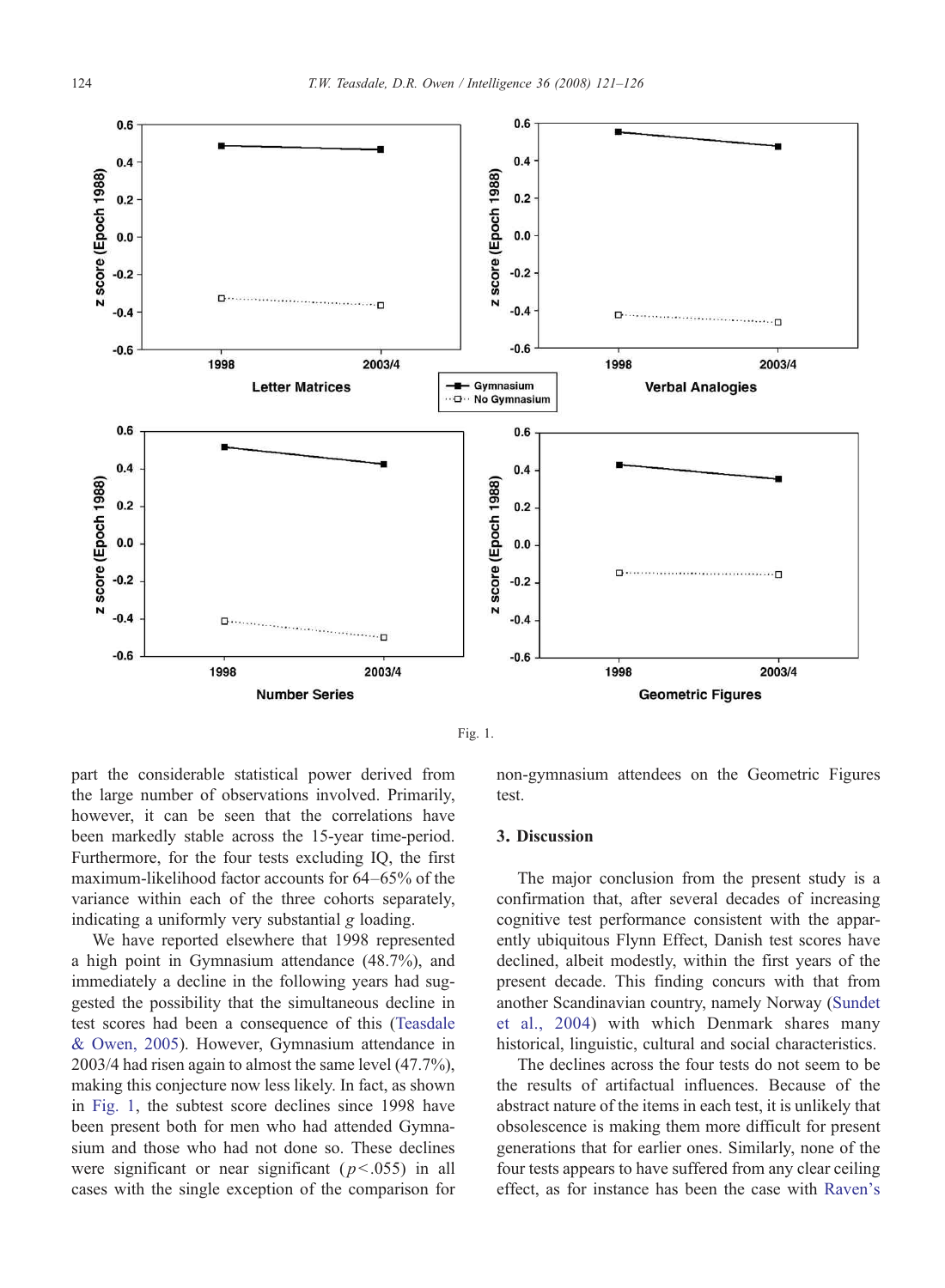

Fig. 1.

part the considerable statistical power derived from the large number of observations involved. Primarily, however, it can be seen that the correlations have been markedly stable across the 15-year time-period. Furthermore, for the four tests excluding IQ, the first maximum-likelihood factor accounts for 64–65% of the variance within each of the three cohorts separately, indicating a uniformly very substantial *g* loading.

We have reported elsewhere that 1998 represented a high point in Gymnasium attendance (48.7%), and immediately a decline in the following years had suggested the possibility that the simultaneous decline in test scores had been a consequence of this (Teasdale & Owen, 2005). However, Gymnasium attendance in 2003/4 had risen again to almost the same level (47.7%), making this conjecture now less likely. In fact, as shown in Fig. 1, the subtest score declines since 1998 have been present both for men who had attended Gymnasium and those who had not done so. These declines were significant or near significant  $(p<.055)$  in all cases with the single exception of the comparison for non-gymnasium attendees on the Geometric Figures test.

#### 3. Discussion

The major conclusion from the present study is a confirmation that, after several decades of increasing cognitive test performance consistent with the apparently ubiquitous Flynn Effect, Danish test scores have declined, albeit modestly, within the first years of the present decade. This finding concurs with that from another Scandinavian country, namely Norway (Sundet et al., 2004) with which Denmark shares many historical, linguistic, cultural and social characteristics.

The declines across the four tests do not seem to be the results of artifactual influences. Because of the abstract nature of the items in each test, it is unlikely that obsolescence is making them more difficult for present generations that for earlier ones. Similarly, none of the four tests appears to have suffered from any clear ceiling effect, as for instance has been the case with Raven's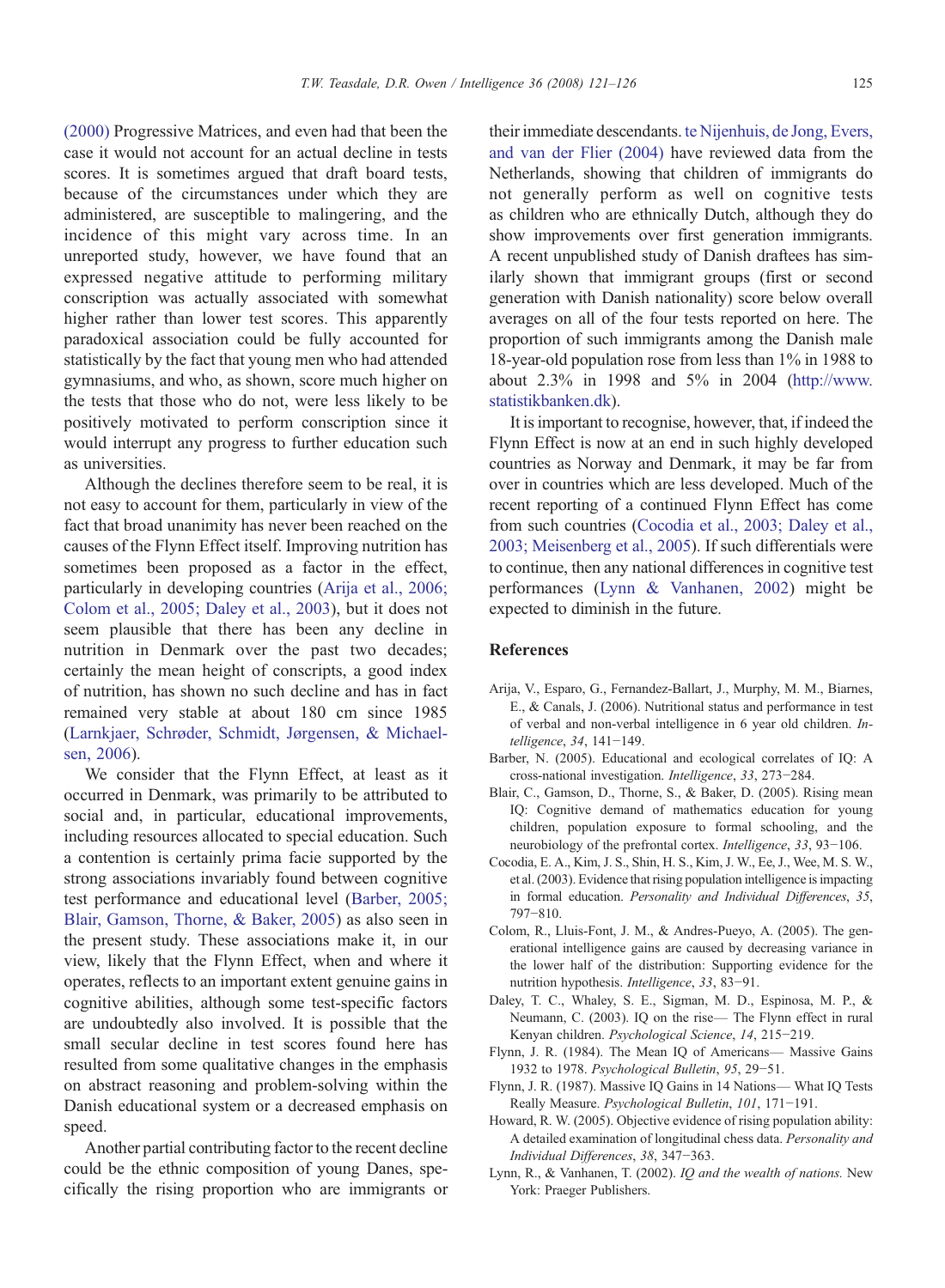(2000) Progressive Matrices, and even had that been the case it would not account for an actual decline in tests scores. It is sometimes argued that draft board tests, because of the circumstances under which they are administered, are susceptible to malingering, and the incidence of this might vary across time. In an unreported study, however, we have found that an expressed negative attitude to performing military conscription was actually associated with somewhat higher rather than lower test scores. This apparently paradoxical association could be fully accounted for statistically by the fact that young men who had attended gymnasiums, and who, as shown, score much higher on the tests that those who do not, were less likely to be positively motivated to perform conscription since it would interrupt any progress to further education such as universities.

Although the declines therefore seem to be real, it is not easy to account for them, particularly in view of the fact that broad unanimity has never been reached on the causes of the Flynn Effect itself. Improving nutrition has sometimes been proposed as a factor in the effect, particularly in developing countries (Arija et al., 2006; Colom et al., 2005; Daley et al., 2003), but it does not seem plausible that there has been any decline in nutrition in Denmark over the past two decades; certainly the mean height of conscripts, a good index of nutrition, has shown no such decline and has in fact remained very stable at about 180 cm since 1985 (Larnkjaer, Schrøder, Schmidt, Jørgensen, & Michaelsen, 2006).

We consider that the Flynn Effect, at least as it occurred in Denmark, was primarily to be attributed to social and, in particular, educational improvements, including resources allocated to special education. Such a contention is certainly prima facie supported by the strong associations invariably found between cognitive test performance and educational level (Barber, 2005; Blair, Gamson, Thorne, & Baker, 2005) as also seen in the present study. These associations make it, in our view, likely that the Flynn Effect, when and where it operates, reflects to an important extent genuine gains in cognitive abilities, although some test-specific factors are undoubtedly also involved. It is possible that the small secular decline in test scores found here has resulted from some qualitative changes in the emphasis on abstract reasoning and problem-solving within the Danish educational system or a decreased emphasis on speed.

Another partial contributing factor to the recent decline could be the ethnic composition of young Danes, specifically the rising proportion who are immigrants or

their immediate descendants. te Nijenhuis, de Jong, Evers, and van der Flier (2004) have reviewed data from the Netherlands, showing that children of immigrants do not generally perform as well on cognitive tests as children who are ethnically Dutch, although they do show improvements over first generation immigrants. A recent unpublished study of Danish draftees has similarly shown that immigrant groups (first or second generation with Danish nationality) score below overall averages on all of the four tests reported on here. The proportion of such immigrants among the Danish male 18-year-old population rose from less than 1% in 1988 to about 2.3% in 1998 and 5% in 2004 (http://www. statistikbanken.dk).

It is important to recognise, however, that, if indeed the Flynn Effect is now at an end in such highly developed countries as Norway and Denmark, it may be far from over in countries which are less developed. Much of the recent reporting of a continued Flynn Effect has come from such countries (Cocodia et al., 2003; Daley et al., 2003; Meisenberg et al., 2005). If such differentials were to continue, then any national differences in cognitive test performances (Lynn & Vanhanen, 2002) might be expected to diminish in the future.

#### References

- Arija, V., Esparo, G., Fernandez-Ballart, J., Murphy, M. M., Biarnes, E., & Canals, J. (2006). Nutritional status and performance in test of verbal and non-verbal intelligence in 6 year old children. *Intelligence*, *34*, 141−149.
- Barber, N. (2005). Educational and ecological correlates of IQ: A cross-national investigation. *Intelligence*, *33*, 273−284.
- Blair, C., Gamson, D., Thorne, S., & Baker, D. (2005). Rising mean IQ: Cognitive demand of mathematics education for young children, population exposure to formal schooling, and the neurobiology of the prefrontal cortex. *Intelligence*, *33*, 93−106.
- Cocodia, E. A., Kim, J. S., Shin, H. S., Kim, J. W., Ee, J., Wee, M. S. W., et al. (2003). Evidence that rising population intelligence is impacting in formal education. *Personality and Individual Differences*, *35*, 797−810.
- Colom, R., Lluis-Font, J. M., & Andres-Pueyo, A. (2005). The generational intelligence gains are caused by decreasing variance in the lower half of the distribution: Supporting evidence for the nutrition hypothesis. *Intelligence*, *33*, 83−91.
- Daley, T. C., Whaley, S. E., Sigman, M. D., Espinosa, M. P., & Neumann, C. (2003). IQ on the rise— The Flynn effect in rural Kenyan children. *Psychological Science*, *14*, 215−219.
- Flynn, J. R. (1984). The Mean IQ of Americans— Massive Gains 1932 to 1978. *Psychological Bulletin*, *95*, 29−51.
- Flynn, J. R. (1987). Massive IQ Gains in 14 Nations— What IQ Tests Really Measure. *Psychological Bulletin*, *101*, 171−191.
- Howard, R. W. (2005). Objective evidence of rising population ability: A detailed examination of longitudinal chess data. *Personality and Individual Differences*, *38*, 347−363.
- Lynn, R., & Vanhanen, T. (2002). *IQ and the wealth of nations.* New York: Praeger Publishers.